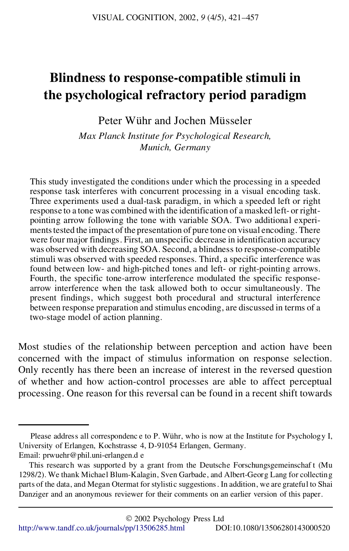# **Blindness to response-compatible stimuli in the psychological refractory period paradigm**

Peter Wühr and Jochen Müsseler

*Max Planck Institute for Psychological Research, Munich, Germany*

This study investigated the conditions under which the processing in a speeded response task interferes with concurrent processing in a visual encoding task. Three experiments used a dual-task paradigm, in which a speeded left or right response to a tone was combined with the identification of a masked left- or right pointing arrow following the tone with variable SOA. Two additional experi ments tested the impact of the presentation of pure tone on visual encoding. There were four major findings. First, an unspecific decrease in identification accuracy was observed with decreasing SOA. Second, a blindness to response-compatible stimuli was observed with speeded responses. Third, a specific interference was found between low- and high-pitched tones and left- or right-pointing arrows. Fourth, the specific tone-arrow interference modulated the specific response arrow interference when the task allowed both to occur simultaneously. The present findings, which suggest both procedural and structural interference between response preparation and stimulus encoding, are discussed in terms of a two-stage model of action planning.

Most studies of the relationship between perception and action have been concerned with the impact of stimulus information on response selection. Only recently has there been an increase of interest in the reversed question of whether and how action-control processes are able to affect perceptual processing. One reason for this reversal can be found in a recent shift towards

Ó 2002 Psychology Press Ltd

Please address all correspondenc e to P. Wühr, who is now at the Institute for Psychology I, University of Erlangen, Kochstrasse 4, D-91054 Erlangen, Germany. Email: prwuehr@phil.uni-erlangen.d e

This research was supported by a grant from the Deutsche Forschungsgemeinschaf t (Mu 1298/2). We thank Michael Blum-Kalagin, Sven Garbade, and Albert-Georg Lang for collecting parts of the data, and Megan Otermat for stylistic suggestions. In addition, we are grateful to Shai Danziger and an anonymous reviewer for their comments on an earlier version of this paper.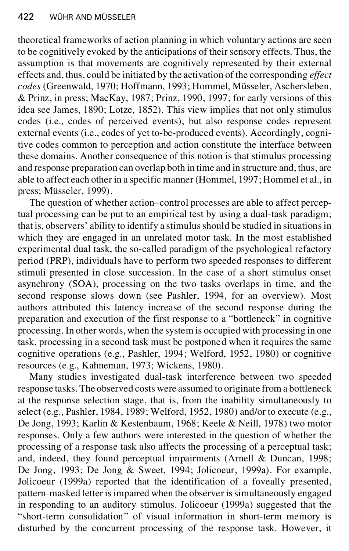theoretical frameworks of action planning in which voluntary actions are seen to be cognitively evoked by the anticipations of their sensory effects. Thus, the assumption is that movements are cognitively represented by their external effects and, thus, could be initiated by the activation of the corresponding *effect codes* (Greenwald, 1970; Hoffmann, 1993; Hommel, Müsseler, Aschersleben, & Prinz, in press; MacKay, 1987; Prinz, 1990, 1997; for early versions of this idea see James, 1890; Lotze, 1852). This view implies that not only stimulus codes (i.e., codes of perceived events), but also response codes represent external events (i.e., codes of yet to-be-produced events). Accordingly, cognitive codes common to perception and action constitute the interface between these domains. Another consequence of this notion is that stimulus processing and response preparation can overlap both in time and in structure and, thus, are able to affect each other in a specific manner (Hommel, 1997; Hommel et al., in press; Müsseler, 1999).

The question of whether action–control processes are able to affect perceptual processing can be put to an empirical test by using a dual-task paradigm; that is, observers' ability to identify a stimulus should be studied in situations in which they are engaged in an unrelated motor task. In the most established experimental dual task, the so-called paradigm of the psychological refactory period (PRP), individuals have to perform two speeded responses to different stimuli presented in close succession. In the case of a short stimulus onset asynchrony (SOA), processing on the two tasks overlaps in time, and the second response slows down (see Pashler, 1994, for an overview). Most authors attributed this latency increase of the second response during the preparation and execution of the first response to a "bottleneck" in cognitive processing. In other words, when the system is occupied with processing in one task, processing in a second task must be postponed when it requires the same cognitive operations (e.g., Pashler, 1994; Welford, 1952, 1980) or cognitive resources (e.g., Kahneman, 1973; Wickens, 1980).

Many studies investigated dual-task interference between two speeded response tasks.The observed costs were assumed to originate from a bottleneck at the response selection stage, that is, from the inability simultaneously to select (e.g., Pashler, 1984, 1989; Welford, 1952, 1980) and/or to execute (e.g., De Jong, 1993; Karlin & Kestenbaum, 1968; Keele & Neill, 1978) two motor responses. Only a few authors were interested in the question of whether the processing of a response task also affects the processing of a perceptual task; and, indeed, they found perceptual impairments (Arnell & Duncan, 1998; De Jong, 1993; De Jong & Sweet, 1994; Jolicoeur, 1999a). For example, Jolicoeur (1999a) reported that the identification of a foveally presented, pattern-masked letter is impaired when the observer is simultaneously engaged in responding to an auditory stimulus. Jolicoeur (1999a) suggested that the "short-term consolidation" of visual information in short-term memory is disturbed by the concurrent processing of the response task. However, it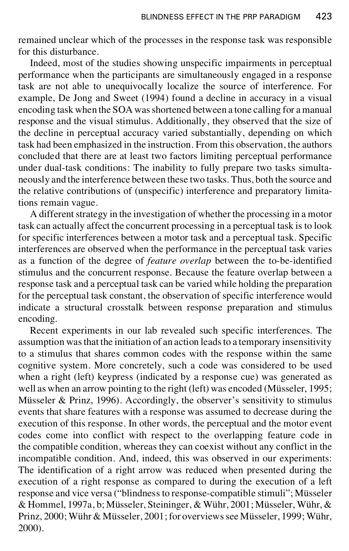remained unclear which of the processes in the response task was responsible for this disturbance.

Indeed, most of the studies showing unspecific impairments in perceptual performance when the participants are simultaneously engaged in a response task are not able to unequivocally localize the source of interference. For example, De Jong and Sweet (1994) found a decline in accuracy in a visual encoding task when the SOA wasshortened between a tone calling for a manual response and the visual stimulus. Additionally, they observed that the size of the decline in perceptual accuracy varied substantially, depending on which task had been emphasized in the instruction. From this observation, the authors concluded that there are at least two factors limiting perceptual performance under dual-task conditions: The inability to fully prepare two tasks simulta neously and the interference between these two tasks. Thus, both the source and the relative contributions of (unspecific) interference and preparatory limitations remain vague.

A different strategy in the investigation of whether the processing in a motor task can actually affect the concurrent processing in a perceptual task is to look for specific interferences between a motor task and a perceptual task. Specific interferences are observed when the performance in the perceptual task varies as a function of the degree of *feature overlap* between the to-be-identified stimulus and the concurrent response. Because the feature overlap between a response task and a perceptual task can be varied while holding the preparation for the perceptual task constant, the observation of specific interference would indicate a structural crosstalk between response preparation and stimulus encoding.

Recent experiments in our lab revealed such specific interferences. The assumption wasthat the initiation of an action leadsto a temporary insensitivity to a stimulus that shares common codes with the response within the same cognitive system. More concretely, such a code was considered to be used when a right (left) keypress (indicated by a response cue) was generated as well as when an arrow pointing to the right (left) was encoded (Müsseler, 1995; Müsseler & Prinz, 1996). Accordingly, the observer's sensitivity to stimulus events that share features with a response was assumed to decrease during the execution of this response. In other words, the perceptual and the motor event codes come into conflict with respect to the overlapping feature code in the compatible condition, whereas they can coexist without any conflict in the incompatible condition. And, indeed, this was observed in our experiments: The identification of a right arrow was reduced when presented during the execution of a right response as compared to during the execution of a left response and vice versa ("blindnessto response-compatible stimuli"; Müsseler & Hommel, 1997a, b; Müsseler, Steininger, & Wühr, 2001; Müsseler, Wühr, & Prinz, 2000; Wühr & Müsseler, 2001; for overviews see Müsseler, 1999; Wühr, 2000).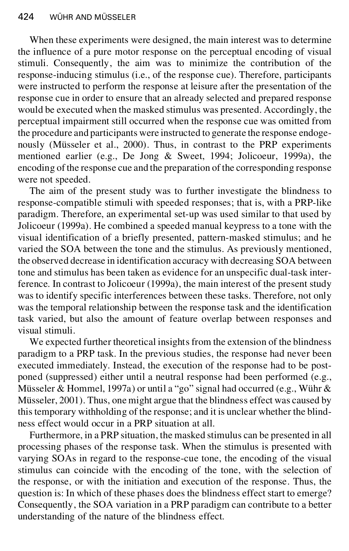When these experiments were designed, the main interest was to determine the influence of a pure motor response on the perceptual encoding of visual stimuli. Consequently, the aim was to minimize the contribution of the response-inducing stimulus (i.e., of the response cue). Therefore, participants were instructed to perform the response at leisure after the presentation of the response cue in order to ensure that an already selected and prepared response would be executed when the masked stimulus was presented. Accordingly, the perceptual impairment still occurred when the response cue was omitted from the procedure and participants were instructed to generate the response endoge nously (Müsseler et al., 2000). Thus, in contrast to the PRP experiments mentioned earlier (e.g., De Jong & Sweet, 1994; Jolicoeur, 1999a), the encoding of the response cue and the preparation of the corresponding response were not speeded.

The aim of the present study was to further investigate the blindness to response-compatible stimuli with speeded responses; that is, with a PRP-like paradigm. Therefore, an experimental set-up was used similar to that used by Jolicoeur (1999a). He combined a speeded manual keypress to a tone with the visual identification of a briefly presented, pattern-masked stimulus; and he varied the SOA between the tone and the stimulus. As previously mentioned, the observed decrease in identification accuracy with decreasing SOA between tone and stimulus has been taken as evidence for an unspecific dual-task interference. In contrast to Jolicoeur (1999a), the main interest of the present study was to identify specific interferences between these tasks. Therefore, not only was the temporal relationship between the response task and the identification task varied, but also the amount of feature overlap between responses and visual stimuli.

We expected further theoretical insights from the extension of the blindness paradigm to a PRP task. In the previous studies, the response had never been executed immediately. Instead, the execution of the response had to be post poned (suppressed) either until a neutral response had been performed (e.g., Müsseler & Hommel, 1997a) or until a "go" signal had occurred (e.g., Wühr & Müsseler, 2001). Thus, one might argue that the blindness effect was caused by this temporary withholding of the response; and it is unclear whether the blindness effect would occur in a PRP situation at all.

Furthermore, in a PRP situation, the masked stimulus can be presented in all processing phases of the response task. When the stimulus is presented with varying SOAs in regard to the response-cue tone, the encoding of the visual stimulus can coincide with the encoding of the tone, with the selection of the response, or with the initiation and execution of the response. Thus, the question is: In which of these phases does the blindness effect start to emerge? Consequently, the SOA variation in a PRP paradigm can contribute to a better understanding of the nature of the blindness effect.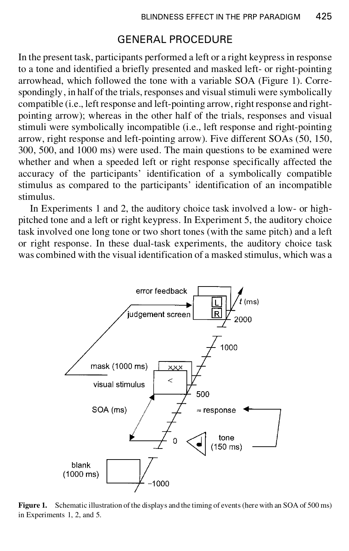### GENERAL PROCEDURE

In the present task, participants performed a left or a right keypressin response to a tone and identified a briefly presented and masked left- or right-pointing arrowhead, which followed the tone with a variable SOA (Figure 1). Corre spondingly, in half of the trials, responses and visual stimuli were symbolically compatible (i.e., left response and left-pointing arrow, right response and rightpointing arrow); whereas in the other half of the trials, responses and visual stimuli were symbolically incompatible (i.e., left response and right-pointing arrow, right response and left-pointing arrow). Five different SOAs (50, 150, 300, 500, and 1000 ms) were used. The main questions to be examined were whether and when a speeded left or right response specifically affected the accuracy of the participants' identification of a symbolically compatible stimulus as compared to the participants' identification of an incompatible stimulus.

In Experiments 1 and 2, the auditory choice task involved a low- or high pitched tone and a left or right keypress. In Experiment 5, the auditory choice task involved one long tone or two short tones (with the same pitch) and a left or right response. In these dual-task experiments, the auditory choice task was combined with the visual identification of a masked stimulus, which was a



**Figure 1.** Schematic illustration of the displays and the timing of events (here with an SOA of 500 ms) in Experiments 1, 2, and 5.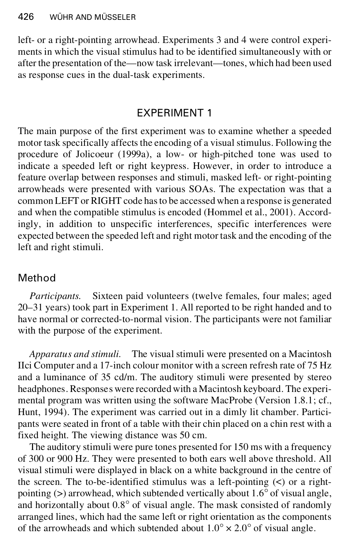left- or a right-pointing arrowhead. Experiments 3 and 4 were control experi ments in which the visual stimulus had to be identified simultaneously with or after the presentation of the—now task irrelevant—tones, which had been used as response cues in the dual-task experiments.

## EXPERIMENT 1

The main purpose of the first experiment was to examine whether a speeded motor task specifically affects the encoding of a visual stimulus. Following the procedure of Jolicoeur (1999a), a low- or high-pitched tone was used to indicate a speeded left or right keypress. However, in order to introduce a feature overlap between responses and stimuli, masked left- or right-pointing arrowheads were presented with various SOAs. The expectation was that a commonLEFT or RIGHT code hasto be accessed when a response is generated and when the compatible stimulus is encoded (Hommel et al., 2001). Accordingly, in addition to unspecific interferences, specific interferences were expected between the speeded left and right motor task and the encoding of the left and right stimuli.

## Method

*Participants.* Sixteen paid volunteers (twelve females, four males; aged 20–31 years) took part in Experiment 1. All reported to be right handed and to have normal or corrected-to-normal vision. The participants were not familiar with the purpose of the experiment.

*Apparatus and stimuli.* The visual stimuli were presented on a Macintosh IIci Computer and a 17-inch colour monitor with a screen refresh rate of 75 Hz and a luminance of 35 cd/m. The auditory stimuli were presented by stereo headphones. Responses were recorded with a Macintosh keyboard. The experi mental program was written using the software MacProbe (Version 1.8.1; cf., Hunt, 1994). The experiment was carried out in a dimly lit chamber. Partici pants were seated in front of a table with their chin placed on a chin rest with a fixed height. The viewing distance was 50 cm.

The auditory stimuli were pure tones presented for 150 ms with a frequency of 300 or 900 Hz. They were presented to both ears well above threshold. All visual stimuli were displayed in black on a white background in the centre of the screen. The to-be-identified stimulus was a left-pointing  $\left(\langle\right)$  or a rightpointing ( $>$ ) arrowhead, which subtended vertically about 1.6<sup> $\circ$ </sup> of visual angle, and horizontally about 0.8° of visual angle. The mask consisted of randomly arranged lines, which had the same left or right orientation as the components of the arrowheads and which subtended about  $1.0^{\circ} \times 2.0^{\circ}$  of visual angle.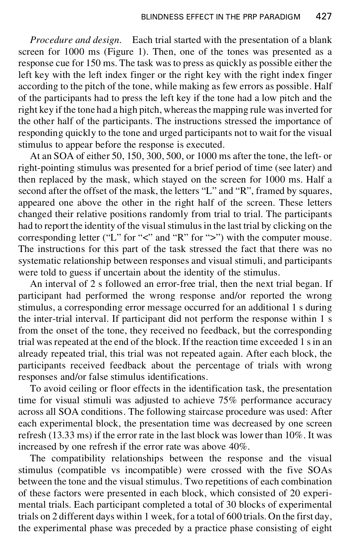*Procedure and design.* Each trial started with the presentation of a blank screen for 1000 ms (Figure 1). Then, one of the tones was presented as a response cue for 150 ms. The task wasto press as quickly as possible either the left key with the left index finger or the right key with the right index finger according to the pitch of the tone, while making as few errors as possible. Half of the participants had to press the left key if the tone had a low pitch and the right key if the tone had a high pitch, whereasthe mapping rule wasinverted for the other half of the participants. The instructions stressed the importance of responding quickly to the tone and urged participants not to wait for the visual stimulus to appear before the response is executed.

At an SOA of either 50, 150, 300, 500, or 1000 ms after the tone, the left- or right-pointing stimulus was presented for a brief period of time (see later) and then replaced by the mask, which stayed on the screen for 1000 ms. Half a second after the offset of the mask, the letters "L" and "R", framed by squares, appeared one above the other in the right half of the screen. These letters changed their relative positions randomly from trial to trial. The participants had to report the identity of the visual stimulus in the last trial by clicking on the corresponding letter ("L" for " $\lt$ " and "R" for " $\gt$ ") with the computer mouse. The instructions for this part of the task stressed the fact that there was no systematic relationship between responses and visual stimuli, and participants were told to guess if uncertain about the identity of the stimulus.

An interval of 2 s followed an error-free trial, then the next trial began. If participant had performed the wrong response and/or reported the wrong stimulus, a corresponding error message occurred for an additional 1 s during the inter-trial interval. If participant did not perform the response within 1 s from the onset of the tone, they received no feedback, but the corresponding trial was repeated at the end of the block. If the reaction time exceeded 1 s in an already repeated trial, this trial was not repeated again. After each block, the participants received feedback about the percentage of trials with wrong responses and/or false stimulus identifications.

To avoid ceiling or floor effects in the identification task, the presentation time for visual stimuli was adjusted to achieve 75% performance accuracy across all SOA conditions. The following staircase procedure was used: After each experimental block, the presentation time was decreased by one screen refresh (13.33 ms) if the error rate in the last block was lower than 10%. It was increased by one refresh if the error rate was above 40%.

The compatibility relationships between the response and the visual stimulus (compatible vs incompatible) were crossed with the five SOAs between the tone and the visual stimulus. Two repetitions of each combination of these factors were presented in each block, which consisted of 20 experi mental trials. Each participant completed a total of 30 blocks of experimental trials on 2 different days within 1 week, for a total of 600 trials. On the first day, the experimental phase was preceded by a practice phase consisting of eight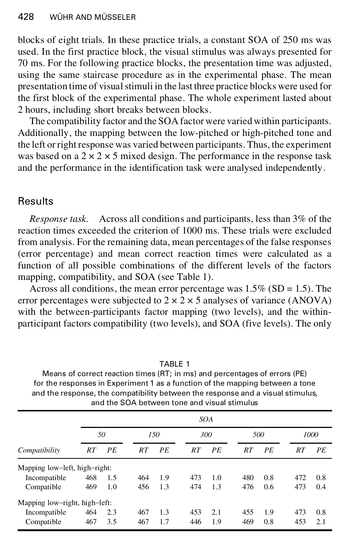blocks of eight trials. In these practice trials, a constant SOA of 250 ms was used. In the first practice block, the visual stimulus was always presented for 70 ms. For the following practice blocks, the presentation time was adjusted, using the same staircase procedure as in the experimental phase. The mean presentation time of visual stimuli in the last three practice blocks were used for the first block of the experimental phase. The whole experiment lasted about 2 hours, including short breaks between blocks.

The compatibility factor and the SOA factor were varied within participants. Additionally, the mapping between the low-pitched or high-pitched tone and the left or right response was varied between participants. Thus, the experiment was based on a  $2 \times 2 \times 5$  mixed design. The performance in the response task and the performance in the identification task were analysed independently.

#### Results

*Response task.* Across all conditions and participants, less than 3% of the reaction times exceeded the criterion of 1000 ms. These trials were excluded from analysis. For the remaining data, mean percentages of the false responses (error percentage) and mean correct reaction times were calculated as a function of all possible combinations of the different levels of the factors mapping, compatibility, and SOA (see Table 1).

Across all conditions, the mean error percentage was  $1.5\%$  (SD = 1.5). The error percentages were subjected to  $2 \times 2 \times 5$  analyses of variance (ANOVA) with the between-participants factor mapping (two levels), and the withinparticipant factors compatibility (two levels), and SOA (five levels). The only

| and the SOA between tone and visual stimulus |     |     |     |     |     |     |     |     |      |     |
|----------------------------------------------|-----|-----|-----|-----|-----|-----|-----|-----|------|-----|
| Compatibility                                | SOA |     |     |     |     |     |     |     |      |     |
|                                              | 50  |     | 150 |     | 300 |     | 500 |     | 1000 |     |
|                                              | RT  | PЕ  | RT  | PE  | RT  | PE  | RT  | PE  | RT   | PE  |
| Mapping low-left, high-right:                |     |     |     |     |     |     |     |     |      |     |
| Incompatible                                 | 468 | 1.5 | 464 | 1.9 | 473 | 1.0 | 480 | 0.8 | 472  | 0.8 |
| Compatible                                   | 469 | 1.0 | 456 | 1.3 | 474 | 1.3 | 476 | 0.6 | 473  | 0.4 |
| Mapping low-right, high-left:                |     |     |     |     |     |     |     |     |      |     |
| Incompatible                                 | 464 | 2.3 | 467 | 1.3 | 453 | 2.1 | 455 | 1.9 | 473  | 0.8 |
| Compatible                                   | 467 | 3.5 | 467 | 1.7 | 446 | 1.9 | 469 | 0.8 | 453  | 2.1 |

TABLE 1 Means of correct reaction times (RT; in ms) and percentages of errors (PE) for the responses in Experiment 1 as a function of the mapping between a tone

and the response, the compatibility between the response and a visual stimulus,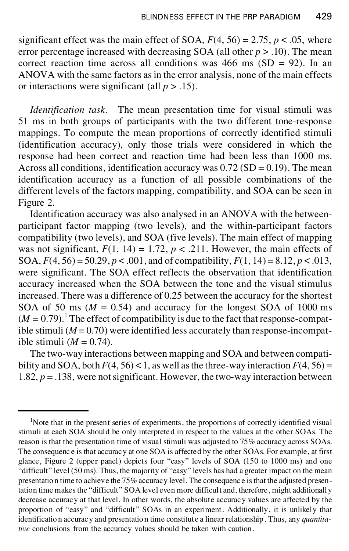significant effect was the main effect of SOA,  $F(4, 56) = 2.75$ ,  $p < .05$ , where error percentage increased with decreasing SOA (all other *p* > .10). The mean correct reaction time across all conditions was  $466 \text{ ms}$  (SD = 92). In an ANOVA with the same factors asin the error analysis, none of the main effects or interactions were significant (all  $p > .15$ ).

*Identification task*. The mean presentation time for visual stimuli was 51 ms in both groups of participants with the two different tone-response mappings. To compute the mean proportions of correctly identified stimuli (identification accuracy), only those trials were considered in which the response had been correct and reaction time had been less than 1000 ms. Across all conditions, identification accuracy was  $0.72$  (SD = 0.19). The mean identification accuracy as a function of all possible combinations of the different levels of the factors mapping, compatibility, and SOA can be seen in Figure 2.

Identification accuracy was also analysed in an ANOVA with the between participant factor mapping (two levels), and the within-participant factors compatibility (two levels), and SOA (five levels). The main effect of mapping was not significant,  $F(1, 14) = 1.72$ ,  $p < .211$ . However, the main effects of SOA,  $F(4, 56) = 50.29$ ,  $p < .001$ , and of compatibility,  $F(1, 14) = 8.12$ ,  $p < .013$ , were significant. The SOA effect reflects the observation that identification accuracy increased when the SOA between the tone and the visual stimulus increased. There was a difference of 0.25 between the accuracy for the shortest SOA of 50 ms ( $M = 0.54$ ) and accuracy for the longest SOA of 1000 ms  $(M = 0.79)$ .<sup>1</sup> The effect of compatibility is due to the fact that response-compatible stimuli  $(M = 0.70)$  were identified less accurately than response-incompatible stimuli  $(M = 0.74)$ .

The two-way interactions between mapping and SOA and between compati bility and SOA, both  $F(4, 56) < 1$ , as well as the three-way interaction  $F(4, 56) =$ 1.82,  $p = 0.138$ , were not significant. However, the two-way interaction between

<sup>&</sup>lt;sup>1</sup>Note that in the present series of experiments, the proportion s of correctly identified visual stimuli at each SOA should be only interpreted in respect to the values at the other SOAs. The reason is that the presentation time of visual stimuli was adjusted to 75% accuracy across SOAs. The consequenc e is that accuracy at one SOA is affected by the other SOAs. For example, at first glance, Figure 2 (upper panel) depicts four "easy" levels of SOA (150 to 1000 ms) and one "difficult" level (50 ms). Thus, the majority of "easy" levels has had a greater impact on the mean presentatio n time to achieve the 75% accuracy level. The consequenc e isthat the adjusted presentation time makesthe "difficult" SOA level even more difficult and, therefore, might additionall y decrease accuracy at that level. In other words, the absolute accuracy values are affected by the proportion of "easy" and "difficult" SOAs in an experiment. Additionally, it is unlikely that identificatio n accuracy and presentatio n time constitute a linear relationship . Thus, any *quantitative* conclusions from the accuracy values should be taken with caution.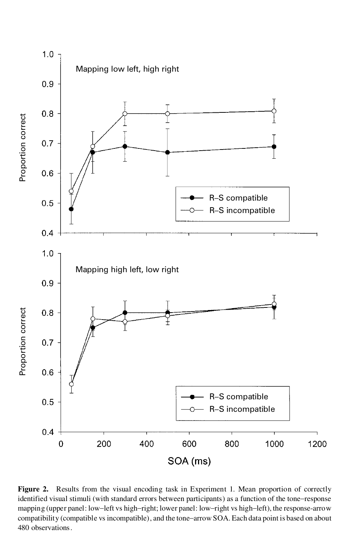

**Figure 2.** Results from the visual encoding task in Experiment 1. Mean proportion of correctly identified visual stimuli (with standard errors between participants) as a function of the tone–response mapping (upper panel: low–left vs high–right; lower panel: low–right vs high–left), the response-arrow compatibility (compatible vs incompatible), and the tone–arrow SOA. Each data point is based on about 480 observations.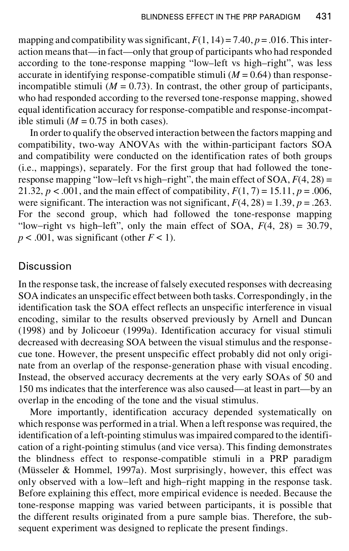mapping and compatibility was significant,  $F(1, 14) = 7.40$ ,  $p = .016$ . This interaction meansthat—in fact—only that group of participants who had responded according to the tone-response mapping "low–left vs high–right", was less accurate in identifying response-compatible stimuli  $(M = 0.64)$  than responseincompatible stimuli  $(M = 0.73)$ . In contrast, the other group of participants, who had responded according to the reversed tone-response mapping, showed equal identification accuracy for response-compatible and response-incompatible stimuli ( $M = 0.75$  in both cases).

In order to qualify the observed interaction between the factors mapping and compatibility, two-way ANOVAs with the within-participant factors SOA and compatibility were conducted on the identification rates of both groups (i.e., mappings), separately. For the first group that had followed the toneresponse mapping "low–left vs high–right", the main effect of SOA,  $F(4, 28) =$ 21.32,  $p < .001$ , and the main effect of compatibility,  $F(1, 7) = 15.11$ ,  $p = .006$ , were significant. The interaction was not significant,  $F(4, 28) = 1.39$ ,  $p = .263$ . For the second group, which had followed the tone-response mapping "low–right vs high–left", only the main effect of SOA,  $F(4, 28) = 30.79$ ,  $p < .001$ , was significant (other  $F < 1$ ).

### Discussion

In the response task, the increase of falsely executed responses with decreasing SOA indicates an unspecific effect between both tasks. Correspondingly, in the identification task the SOA effect reflects an unspecific interference in visual encoding, similar to the results observed previously by Arnell and Duncan (1998) and by Jolicoeur (1999a). Identification accuracy for visual stimuli decreased with decreasing SOA between the visual stimulus and the response cue tone. However, the present unspecific effect probably did not only origi nate from an overlap of the response-generation phase with visual encoding. Instead, the observed accuracy decrements at the very early SOAs of 50 and 150 ms indicates that the interference was also caused—at least in part—by an overlap in the encoding of the tone and the visual stimulus.

More importantly, identification accuracy depended systematically on which response was performed in a trial. When a left response was required, the identification of a left-pointing stimulus wasimpaired compared to the identifi cation of a right-pointing stimulus (and vice versa). This finding demonstrates the blindness effect to response-compatible stimuli in a PRP paradigm (Müsseler & Hommel, 1997a). Most surprisingly, however, this effect was only observed with a low–left and high–right mapping in the response task. Before explaining this effect, more empirical evidence is needed. Because the tone-response mapping was varied between participants, it is possible that the different results originated from a pure sample bias. Therefore, the sub sequent experiment was designed to replicate the present findings.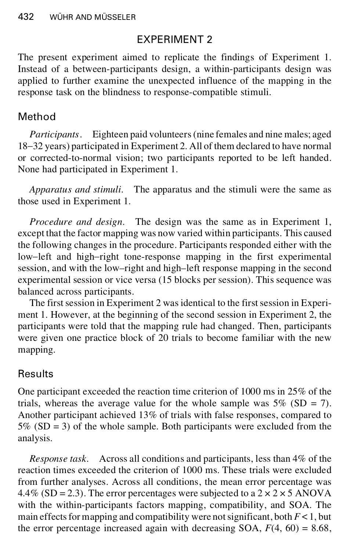## EXPERIMENT 2

The present experiment aimed to replicate the findings of Experiment 1. Instead of a between-participants design, a within-participants design was applied to further examine the unexpected influence of the mapping in the response task on the blindness to response-compatible stimuli.

# Method

*Participants*. Eighteen paid volunteers(nine females and nine males; aged 18–32 years) participated in Experiment 2. All of them declared to have normal or corrected-to-normal vision; two participants reported to be left handed. None had participated in Experiment 1.

*Apparatus and stimuli*. The apparatus and the stimuli were the same as those used in Experiment 1.

*Procedure and design*. The design was the same as in Experiment 1, except that the factor mapping was now varied within participants. This caused the following changes in the procedure. Participants responded either with the low–left and high–right tone-response mapping in the first experimental session, and with the low–right and high–left response mapping in the second experimental session or vice versa (15 blocks per session). This sequence was balanced across participants.

The first session in Experiment 2 was identical to the first session in Experiment 1. However, at the beginning of the second session in Experiment 2, the participants were told that the mapping rule had changed. Then, participants were given one practice block of 20 trials to become familiar with the new mapping.

# **Results**

One participant exceeded the reaction time criterion of 1000 ms in 25% of the trials, whereas the average value for the whole sample was  $5\%$  (SD = 7). Another participant achieved 13% of trials with false responses, compared to  $5\%$  (SD = 3) of the whole sample. Both participants were excluded from the analysis.

*Response task*. Across all conditions and participants, less than 4% of the reaction times exceeded the criterion of 1000 ms. These trials were excluded from further analyses. Across all conditions, the mean error percentage was 4.4% (SD = 2.3). The error percentages were subjected to a  $2 \times 2 \times 5$  ANOVA with the within-participants factors mapping, compatibility, and SOA. The main effects for mapping and compatibility were not significant, both  $F < 1$ , but the error percentage increased again with decreasing SOA,  $F(4, 60) = 8.68$ ,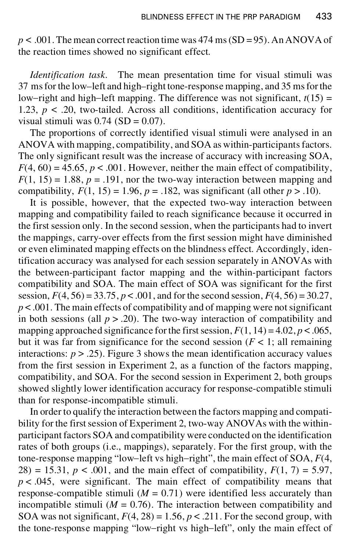$p < .001$ . The mean correct reaction time was  $474 \text{ ms}$  (SD = 95). An ANOVA of the reaction times showed no significant effect.

*Identification task*. The mean presentation time for visual stimuli was 37 msfor the low–left and high–right tone-response mapping, and 35 msforthe low–right and high–left mapping. The difference was not significant,  $t(15)$  = 1.23,  $p < 0.20$ , two-tailed. Across all conditions, identification accuracy for visual stimuli was  $0.74$  (SD = 0.07).

The proportions of correctly identified visual stimuli were analysed in an ANOVA with mapping, compatibility, and SOA as within-participantsfactors. The only significant result was the increase of accuracy with increasing SOA,  $F(4, 60) = 45.65$ ,  $p < .001$ . However, neither the main effect of compatibility,  $F(1, 15) = 1.88$ ,  $p = .191$ , nor the two-way interaction between mapping and compatibility,  $F(1, 15) = 1.96$ ,  $p = .182$ , was significant (all other  $p > .10$ ).

It is possible, however, that the expected two-way interaction between mapping and compatibility failed to reach significance because it occurred in the first session only. In the second session, when the participants had to invert the mappings, carry-over effects from the first session might have diminished or even eliminated mapping effects on the blindness effect. Accordingly, identification accuracy was analysed for each session separately in ANOVAs with the between-participant factor mapping and the within-participant factors compatibility and SOA. The main effect of SOA was significant for the first session,  $F(4, 56) = 33.75$ ,  $p < .001$ , and for the second session,  $F(4, 56) = 30.27$ ,  $p < .001$ . The main effects of compatibility and of mapping were not significant in both sessions (all  $p > .20$ ). The two-way interaction of compatibility and mapping approached significance for the first session,  $F(1, 14) = 4.02$ ,  $p < .065$ , but it was far from significance for the second session ( $F$  < 1; all remaining interactions:  $p > .25$ ). Figure 3 shows the mean identification accuracy values from the first session in Experiment 2, as a function of the factors mapping, compatibility, and SOA. For the second session in Experiment 2, both groups showed slightly lower identification accuracy for response-compatible stimuli than for response-incompatible stimuli.

In order to qualify the interaction between the factors mapping and compati bility for the first session of Experiment 2, two-way ANOVAs with the withinparticipant factors SOA and compatibility were conducted on the identification rates of both groups (i.e., mappings), separately. For the first group, with the tone-response mapping "low–left vs high–right", the main effect of SOA, *F*(4, 28) = 15.31,  $p < .001$ , and the main effect of compatibility,  $F(1, 7) = 5.97$ ,  $p < .045$ , were significant. The main effect of compatibility means that response-compatible stimuli ( $M = 0.71$ ) were identified less accurately than incompatible stimuli ( $M = 0.76$ ). The interaction between compatibility and SOA was not significant,  $F(4, 28) = 1.56$ ,  $p < .211$ . For the second group, with the tone-response mapping "low–right vs high–left", only the main effect of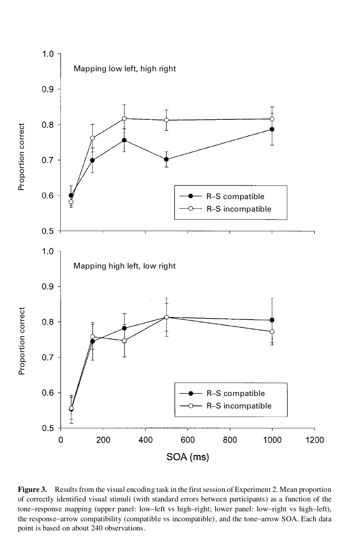

**Figure 3.** Results from the visual encoding task in the first session of Experiment 2. Mean proportion of correctly identified visual stimuli (with standard errors between participants) as a function of the tone–response mapping (upper panel: low–left vs high–right; lower panel: low–right vs high–left), the response–arrow compatibility (compatible vs incompatible), and the tone–arrow SOA. Each data point is based on about 240 observations.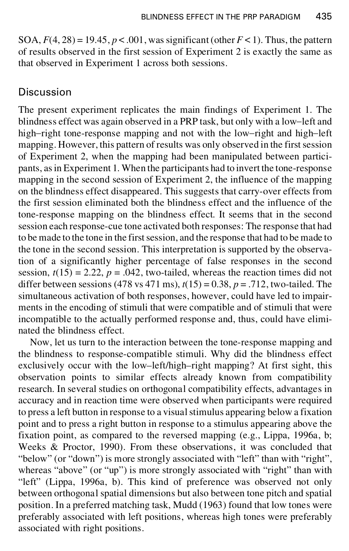SOA,  $F(4, 28) = 19.45$ ,  $p < .001$ , was significant (other  $F < 1$ ). Thus, the pattern of results observed in the first session of Experiment 2 is exactly the same as that observed in Experiment 1 across both sessions.

### Discussion

The present experiment replicates the main findings of Experiment 1. The blindness effect was again observed in a PRP task, but only with a low–left and high–right tone-response mapping and not with the low–right and high–left mapping. However, this pattern of results was only observed in the first session of Experiment 2, when the mapping had been manipulated between partici pants, asin Experiment 1. When the participants had to invert the tone-response mapping in the second session of Experiment 2, the influence of the mapping on the blindness effect disappeared. This suggests that carry-over effects from the first session eliminated both the blindness effect and the influence of the tone-response mapping on the blindness effect. It seems that in the second session each response-cue tone activated both responses: The response that had to be made to the tone in the first session, and the response that had to be made to the tone in the second session. This interpretation is supported by the observation of a significantly higher percentage of false responses in the second session,  $t(15) = 2.22$ ,  $p = .042$ , two-tailed, whereas the reaction times did not differ between sessions (478 vs 471 ms),  $t(15) = 0.38$ ,  $p = .712$ , two-tailed. The simultaneous activation of both responses, however, could have led to impair ments in the encoding of stimuli that were compatible and of stimuli that were incompatible to the actually performed response and, thus, could have elimi nated the blindness effect.

Now, let us turn to the interaction between the tone-response mapping and the blindness to response-compatible stimuli. Why did the blindness effect exclusively occur with the low–left/high–right mapping? At first sight, this observation points to similar effects already known from compatibility research. In several studies on orthogonal compatibility effects, advantages in accuracy and in reaction time were observed when participants were required to press a left button in response to a visualstimulus appearing below a fixation point and to press a right button in response to a stimulus appearing above the fixation point, as compared to the reversed mapping (e.g., Lippa, 1996a, b; Weeks & Proctor, 1990). From these observations, it was concluded that "below" (or "down") is more strongly associated with "left" than with "right", whereas "above" (or "up") is more strongly associated with "right" than with "left" (Lippa, 1996a, b). This kind of preference was observed not only between orthogonal spatial dimensions but also between tone pitch and spatial position. In a preferred matching task, Mudd (1963) found that low tones were preferably associated with left positions, whereas high tones were preferably associated with right positions.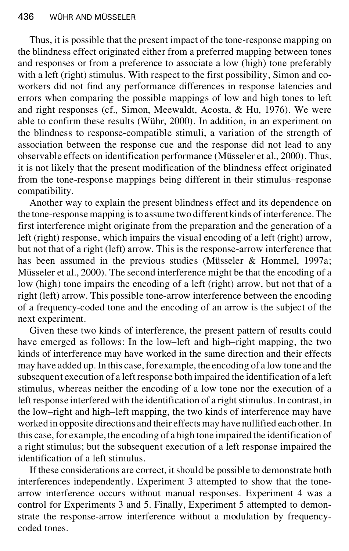Thus, it is possible that the present impact of the tone-response mapping on the blindness effect originated either from a preferred mapping between tones and responses or from a preference to associate a low (high) tone preferably with a left (right) stimulus. With respect to the first possibility, Simon and coworkers did not find any performance differences in response latencies and errors when comparing the possible mappings of low and high tones to left and right responses (cf., Simon, Meewaldt, Acosta, & Hu, 1976). We were able to confirm these results (Wühr, 2000). In addition, in an experiment on the blindness to response-compatible stimuli, a variation of the strength of association between the response cue and the response did not lead to any observable effects on identification performance (Müsseler et al., 2000). Thus, it is not likely that the present modification of the blindness effect originated from the tone-response mappings being different in their stimulus–response compatibility.

Another way to explain the present blindness effect and its dependence on the tone-response mapping isto assume two different kinds of interference.The first interference might originate from the preparation and the generation of a left (right) response, which impairs the visual encoding of a left (right) arrow, but not that of a right (left) arrow. This is the response-arrow interference that has been assumed in the previous studies (Müsseler & Hommel, 1997a; Müsseler et al., 2000). The second interference might be that the encoding of a low (high) tone impairs the encoding of a left (right) arrow, but not that of a right (left) arrow. This possible tone-arrow interference between the encoding of a frequency-coded tone and the encoding of an arrow is the subject of the next experiment.

Given these two kinds of interference, the present pattern of results could have emerged as follows: In the low–left and high–right mapping, the two kinds of interference may have worked in the same direction and their effects may have added up. In this case, for example, the encoding of a low tone and the subsequent execution of a leftresponse both impaired the identification of a left stimulus, whereas neither the encoding of a low tone nor the execution of a left response interfered with the identification of a right stimulus. In contrast, in the low–right and high–left mapping, the two kinds of interference may have worked in opposite directions and their effects may have nullified each other. In this case, for example, the encoding of a high tone impaired the identification of a right stimulus; but the subsequent execution of a left response impaired the identification of a left stimulus.

If these considerations are correct, it should be possible to demonstrate both interferences independently. Experiment 3 attempted to show that the tone arrow interference occurs without manual responses. Experiment 4 was a control for Experiments 3 and 5. Finally, Experiment 5 attempted to demon strate the response-arrow interference without a modulation by frequency coded tones.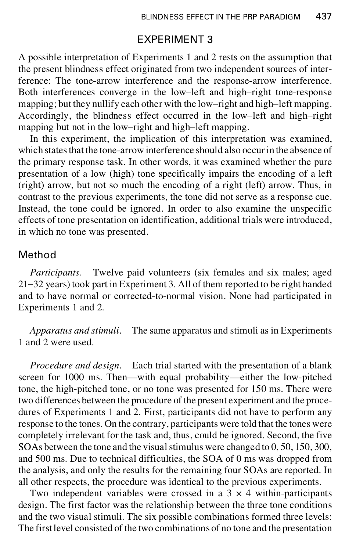### EXPERIMENT 3

A possible interpretation of Experiments 1 and 2 rests on the assumption that the present blindness effect originated from two independent sources of interference: The tone-arrow interference and the response-arrow interference. Both interferences converge in the low–left and high–right tone-response mapping; but they nullify each other with the low–right and high–left mapping. Accordingly, the blindness effect occurred in the low–left and high–right mapping but not in the low–right and high–left mapping.

In this experiment, the implication of this interpretation was examined, which states that the tone-arrow interference should also occur in the absence of the primary response task. In other words, it was examined whether the pure presentation of a low (high) tone specifically impairs the encoding of a left (right) arrow, but not so much the encoding of a right (left) arrow. Thus, in contrast to the previous experiments, the tone did not serve as a response cue. Instead, the tone could be ignored. In order to also examine the unspecific effects of tone presentation on identification, additional trials were introduced, in which no tone was presented.

#### Method

*Participants.* Twelve paid volunteers (six females and six males; aged 21–32 years) took part in Experiment 3. All of them reported to be right handed and to have normal or corrected-to-normal vision. None had participated in Experiments 1 and 2.

*Apparatus and stimuli*. The same apparatus and stimuli as in Experiments 1 and 2 were used.

*Procedure and design.* Each trial started with the presentation of a blank screen for 1000 ms. Then—with equal probability—either the low-pitched tone, the high-pitched tone, or no tone was presented for 150 ms. There were two differences between the procedure of the present experiment and the proce dures of Experiments 1 and 2. First, participants did not have to perform any response to the tones. On the contrary, participants were told that the tones were completely irrelevant for the task and, thus, could be ignored. Second, the five SOAs between the tone and the visual stimulus were changed to 0, 50, 150, 300, and 500 ms. Due to technical difficulties, the SOA of 0 ms was dropped from the analysis, and only the results for the remaining four SOAs are reported. In all other respects, the procedure was identical to the previous experiments.

Two independent variables were crossed in a  $3 \times 4$  within-participants design. The first factor was the relationship between the three tone conditions and the two visual stimuli. The six possible combinations formed three levels: The first level consisted of the two combinations of no tone and the presentation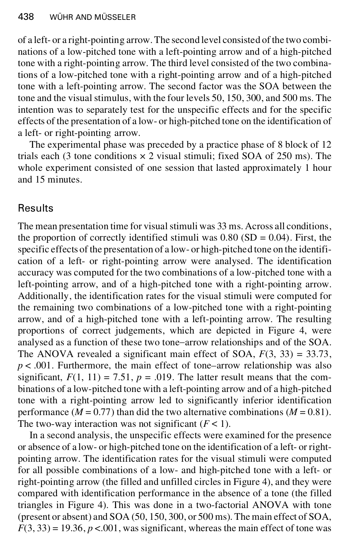of a left- or a right-pointing arrow.The second level consisted of the two combi nations of a low-pitched tone with a left-pointing arrow and of a high-pitched tone with a right-pointing arrow. The third level consisted of the two combinations of a low-pitched tone with a right-pointing arrow and of a high-pitched tone with a left-pointing arrow. The second factor was the SOA between the tone and the visual stimulus, with the four levels 50, 150, 300, and 500 ms. The intention was to separately test for the unspecific effects and for the specific effects of the presentation of a low- or high-pitched tone on the identification of a left- or right-pointing arrow.

The experimental phase was preceded by a practice phase of 8 block of 12 trials each (3 tone conditions  $\times$  2 visual stimuli; fixed SOA of 250 ms). The whole experiment consisted of one session that lasted approximately 1 hour and 15 minutes.

### **Results**

The mean presentation time for visual stimuli was 33 ms. Across all conditions, the proportion of correctly identified stimuli was  $0.80$  (SD =  $0.04$ ). First, the specific effects of the presentation of a low- or high-pitched tone on the identifi cation of a left- or right-pointing arrow were analysed. The identification accuracy was computed for the two combinations of a low-pitched tone with a left-pointing arrow, and of a high-pitched tone with a right-pointing arrow. Additionally, the identification rates for the visual stimuli were computed for the remaining two combinations of a low-pitched tone with a right-pointing arrow, and of a high-pitched tone with a left-pointing arrow. The resulting proportions of correct judgements, which are depicted in Figure 4, were analysed as a function of these two tone–arrow relationships and of the SOA. The ANOVA revealed a significant main effect of SOA,  $F(3, 33) = 33.73$ ,  $p < .001$ . Furthermore, the main effect of tone–arrow relationship was also significant,  $F(1, 11) = 7.51$ ,  $p = .019$ . The latter result means that the combinations of a low-pitched tone with a left-pointing arrow and of a high-pitched tone with a right-pointing arrow led to significantly inferior identification performance ( $\dot{M}$  = 0.77) than did the two alternative combinations ( $M$  = 0.81). The two-way interaction was not significant  $(F < 1)$ .

In a second analysis, the unspecific effects were examined for the presence or absence of a low- or high-pitched tone on the identification of a left- or right pointing arrow. The identification rates for the visual stimuli were computed for all possible combinations of a low- and high-pitched tone with a left- or right-pointing arrow (the filled and unfilled circles in Figure 4), and they were compared with identification performance in the absence of a tone (the filled triangles in Figure 4). This was done in a two-factorial ANOVA with tone (present or absent) and SOA (50, 150, 300, or 500 ms). The main effect of SOA,  $F(3, 33) = 19.36$ ,  $p < .001$ , was significant, whereas the main effect of tone was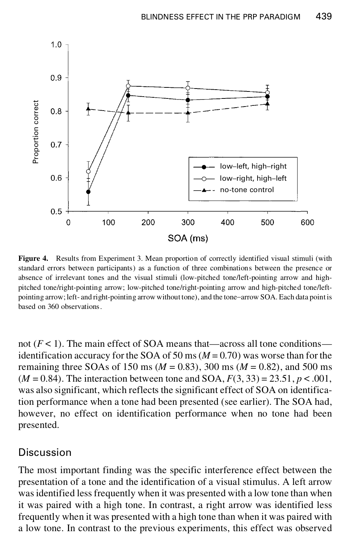

**Figure 4.** Results from Experiment 3. Mean proportion of correctly identified visual stimuli (with standard errors between participants) as a function of three combinations between the presence or absence of irrelevant tones and the visual stimuli (low-pitched tone/left-pointing arrow and high pitched tone/right-pointing arrow; low-pitched tone/right-pointing arrow and high-pitched tone/left pointing arrow; left- and right-pointing arrow without tone), and the tone–arrow SOA. Each data point is based on 360 observations.

not  $(F < 1)$ . The main effect of SOA means that—across all tone conditions identification accuracy for the SOA of 50 ms  $(M = 0.70)$  was worse than for the remaining three SOAs of 150 ms ( $M = 0.83$ ), 300 ms ( $M = 0.82$ ), and 500 ms  $(M = 0.84)$ . The interaction between tone and SOA,  $F(3, 33) = 23.51$ ,  $p < .001$ , was also significant, which reflects the significant effect of SOA on identification performance when a tone had been presented (see earlier). The SOA had, however, no effect on identification performance when no tone had been presented.

#### Discussion

The most important finding was the specific interference effect between the presentation of a tone and the identification of a visual stimulus. A left arrow was identified less frequently when it was presented with a low tone than when it was paired with a high tone. In contrast, a right arrow was identified less frequently when it was presented with a high tone than when it was paired with a low tone. In contrast to the previous experiments, this effect was observed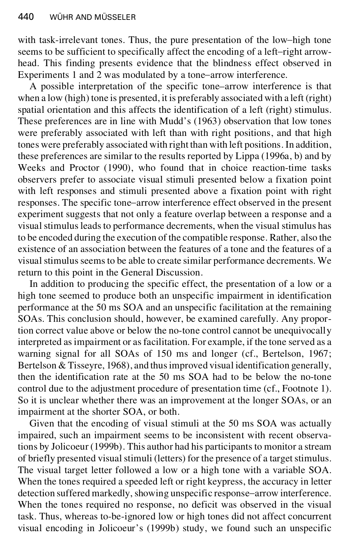with task-irrelevant tones. Thus, the pure presentation of the low–high tone seems to be sufficient to specifically affect the encoding of a left–right arrow head. This finding presents evidence that the blindness effect observed in Experiments 1 and 2 was modulated by a tone–arrow interference.

A possible interpretation of the specific tone–arrow interference is that when a low (high) tone is presented, it is preferably associated with a left (right) spatial orientation and this affects the identification of a left (right) stimulus. These preferences are in line with Mudd's (1963) observation that low tones were preferably associated with left than with right positions, and that high tones were preferably associated with right than with left positions. In addition, these preferences are similar to the results reported by Lippa (1996a, b) and by Weeks and Proctor (1990), who found that in choice reaction-time tasks observers prefer to associate visual stimuli presented below a fixation point with left responses and stimuli presented above a fixation point with right responses. The specific tone–arrow interference effect observed in the present experiment suggests that not only a feature overlap between a response and a visual stimulus leads to performance decrements, when the visual stimulus has to be encoded during the execution of the compatible response. Rather, also the existence of an association between the features of a tone and the features of a visual stimulus seems to be able to create similar performance decrements. We return to this point in the General Discussion.

In addition to producing the specific effect, the presentation of a low or a high tone seemed to produce both an unspecific impairment in identification performance at the 50 ms SOA and an unspecific facilitation at the remaining SOAs. This conclusion should, however, be examined carefully. Any proportion correct value above or below the no-tone control cannot be unequivocally interpreted as impairment or as facilitation. For example, if the tone served as a warning signal for all SOAs of 150 ms and longer (cf., Bertelson, 1967; Bertelson  $&$  Tisseyre, 1968), and thus improved visual identification generally, then the identification rate at the 50 ms SOA had to be below the no-tone control due to the adjustment procedure of presentation time (cf., Footnote 1). So it is unclear whether there was an improvement at the longer SOAs, or an impairment at the shorter SOA, or both.

Given that the encoding of visual stimuli at the 50 ms SOA was actually impaired, such an impairment seems to be inconsistent with recent observations by Jolicoeur (1999b). This author had his participants to monitor a stream of briefly presented visual stimuli (letters) for the presence of a target stimulus. The visual target letter followed a low or a high tone with a variable SOA. When the tones required a speeded left or right keypress, the accuracy in letter detection suffered markedly, showing unspecific response–arrow interference. When the tones required no response, no deficit was observed in the visual task. Thus, whereas to-be-ignored low or high tones did not affect concurrent visual encoding in Jolicoeur's (1999b) study, we found such an unspecific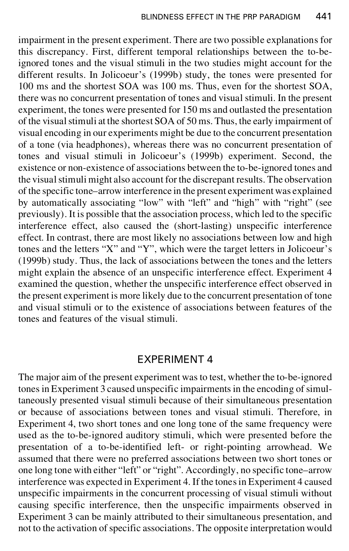impairment in the present experiment. There are two possible explanations for this discrepancy. First, different temporal relationships between the to-beignored tones and the visual stimuli in the two studies might account for the different results. In Jolicoeur's (1999b) study, the tones were presented for 100 ms and the shortest SOA was 100 ms. Thus, even for the shortest SOA, there was no concurrent presentation of tones and visual stimuli. In the present experiment, the tones were presented for 150 ms and outlasted the presentation of the visualstimuli at the shortest SOA of 50 ms. Thus, the early impairment of visual encoding in our experiments might be due to the concurrent presentation of a tone (via headphones), whereas there was no concurrent presentation of tones and visual stimuli in Jolicoeur's (1999b) experiment. Second, the existence or non-existence of associations between the to-be-ignored tones and the visual stimuli might also account for the discrepant results. The observation of the specific tone–arrow interference in the present experiment was explained by automatically associating "low" with "left" and "high" with "right" (see previously). It is possible that the association process, which led to the specific interference effect, also caused the (short-lasting) unspecific interference effect. In contrast, there are most likely no associations between low and high tones and the letters "X" and "Y", which were the target letters in Jolicoeur's (1999b) study. Thus, the lack of associations between the tones and the letters might explain the absence of an unspecific interference effect. Experiment 4 examined the question, whether the unspecific interference effect observed in the present experiment is more likely due to the concurrent presentation of tone and visual stimuli or to the existence of associations between features of the tones and features of the visual stimuli.

## EXPERIMENT 4

The major aim of the present experiment was to test, whether the to-be-ignored tones in Experiment  $3$  caused unspecific impairments in the encoding of simultaneously presented visual stimuli because of their simultaneous presentation or because of associations between tones and visual stimuli. Therefore, in Experiment 4, two short tones and one long tone of the same frequency were used as the to-be-ignored auditory stimuli, which were presented before the presentation of a to-be-identified left- or right-pointing arrowhead. We assumed that there were no preferred associations between two short tones or one long tone with either "left" or "right". Accordingly, no specific tone–arrow interference was expected in Experiment 4. If the tonesin Experiment 4 caused unspecific impairments in the concurrent processing of visual stimuli without causing specific interference, then the unspecific impairments observed in Experiment 3 can be mainly attributed to their simultaneous presentation, and not to the activation of specific associations. The opposite interpretation would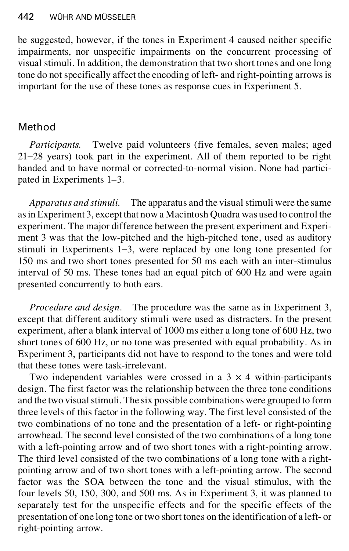be suggested, however, if the tones in Experiment 4 caused neither specific impairments, nor unspecific impairments on the concurrent processing of visual stimuli. In addition, the demonstration that two short tones and one long tone do not specifically affect the encoding of left- and right-pointing arrowsis important for the use of these tones as response cues in Experiment 5.

#### Method

*Participants.* Twelve paid volunteers (five females, seven males; aged 21–28 years) took part in the experiment. All of them reported to be right handed and to have normal or corrected-to-normal vision. None had partici pated in Experiments 1–3.

*Apparatus and stimuli.* The apparatus and the visualstimuli were the same asin Experiment 3, except that now a Macintosh Quadra was used to control the experiment. The major difference between the present experiment and Experi ment 3 was that the low-pitched and the high-pitched tone, used as auditory stimuli in Experiments 1–3, were replaced by one long tone presented for 150 ms and two short tones presented for 50 ms each with an inter-stimulus interval of 50 ms. These tones had an equal pitch of 600 Hz and were again presented concurrently to both ears.

*Procedure and design*. The procedure was the same as in Experiment 3, except that different auditory stimuli were used as distracters. In the present experiment, after a blank interval of 1000 ms either a long tone of 600 Hz, two short tones of 600 Hz, or no tone was presented with equal probability. As in Experiment 3, participants did not have to respond to the tones and were told that these tones were task-irrelevant.

Two independent variables were crossed in a  $3 \times 4$  within-participants design. The first factor was the relationship between the three tone conditions and the two visual stimuli. The six possible combinations were grouped to form three levels of this factor in the following way. The first level consisted of the two combinations of no tone and the presentation of a left- or right-pointing arrowhead. The second level consisted of the two combinations of a long tone with a left-pointing arrow and of two short tones with a right-pointing arrow. The third level consisted of the two combinations of a long tone with a right pointing arrow and of two short tones with a left-pointing arrow. The second factor was the SOA between the tone and the visual stimulus, with the four levels 50, 150, 300, and 500 ms. As in Experiment 3, it was planned to separately test for the unspecific effects and for the specific effects of the presentation of one long tone or two short tones on the identification of a left- or right-pointing arrow.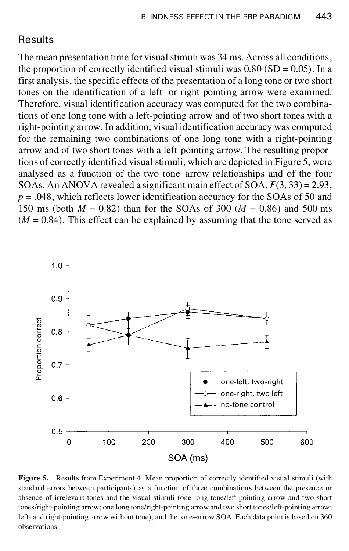### **Results**

The mean presentation time for visual stimuli was 34 ms. Across all conditions, the proportion of correctly identified visual stimuli was  $0.80$  (SD =  $0.05$ ). In a first analysis, the specific effects of the presentation of a long tone or two short tones on the identification of a left- or right-pointing arrow were examined. Therefore, visual identification accuracy was computed for the two combinations of one long tone with a left-pointing arrow and of two short tones with a right-pointing arrow. In addition, visual identification accuracy was computed for the remaining two combinations of one long tone with a right-pointing arrow and of two short tones with a left-pointing arrow. The resulting proportions of correctly identified visual stimuli, which are depicted in Figure 5, were analysed as a function of the two tone–arrow relationships and of the four SOAs. An ANOVA revealed a significant main effect of SOA, *F*(3, 33) = 2.93, *p* = .048, which reflects lower identification accuracy for the SOAs of 50 and 150 ms (both  $M = 0.82$ ) than for the SOAs of 300 ( $M = 0.86$ ) and 500 ms  $(M = 0.84)$ . This effect can be explained by assuming that the tone served as



**Figure 5.** Results from Experiment 4. Mean proportion of correctly identified visual stimuli (with standard errors between participants) as a function of three combinations between the presence or absence of irrelevant tones and the visual stimuli (one long tone/left-pointing arrow and two short tones/right-pointing arrow; one long tone/right-pointing arrow and two short tones/left-pointing arrow; left- and right-pointing arrow without tone), and the tone–arrow SOA. Each data point is based on 360 observations.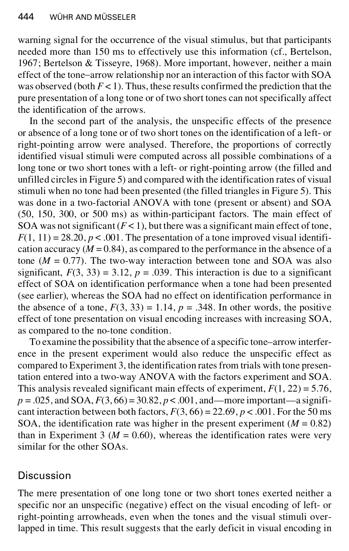warning signal for the occurrence of the visual stimulus, but that participants needed more than 150 ms to effectively use this information (cf., Bertelson, 1967; Bertelson & Tisseyre, 1968). More important, however, neither a main effect of the tone–arrow relationship nor an interaction of this factor with SOA was observed (both  $F < 1$ ). Thus, these results confirmed the prediction that the pure presentation of a long tone or of two short tones can not specifically affect the identification of the arrows.

In the second part of the analysis, the unspecific effects of the presence or absence of a long tone or of two short tones on the identification of a left- or right-pointing arrow were analysed. Therefore, the proportions of correctly identified visual stimuli were computed across all possible combinations of a long tone or two short tones with a left- or right-pointing arrow (the filled and unfilled circlesin Figure 5) and compared with the identification rates of visual stimuli when no tone had been presented (the filled triangles in Figure 5). This was done in a two-factorial ANOVA with tone (present or absent) and SOA (50, 150, 300, or 500 ms) as within-participant factors. The main effect of SOA was not significant  $(F < 1)$ , but there was a significant main effect of tone,  $F(1, 11) = 28.20, p < .001$ . The presentation of a tone improved visual identification accuracy  $(M = 0.84)$ , as compared to the performance in the absence of a tone  $(M = 0.77)$ . The two-way interaction between tone and SOA was also significant,  $F(3, 33) = 3.12$ ,  $p = .039$ . This interaction is due to a significant effect of SOA on identification performance when a tone had been presented (see earlier), whereas the SOA had no effect on identification performance in the absence of a tone,  $F(3, 33) = 1.14$ ,  $p = .348$ . In other words, the positive effect of tone presentation on visual encoding increases with increasing SOA, as compared to the no-tone condition.

To examine the possibility that the absence of a specific tone–arrow interfer ence in the present experiment would also reduce the unspecific effect as compared to Experiment 3, the identification rates from trials with tone presentation entered into a two-way ANOVA with the factors experiment and SOA. This analysis revealed significant main effects of experiment,  $F(1, 22) = 5.76$ ,  $p = .025$ , and SOA,  $F(3, 66) = 30.82$ ,  $p < .001$ , and—more important—a significant interaction between both factors,  $F(3, 66) = 22.69$ ,  $p < .001$ . For the 50 ms SOA, the identification rate was higher in the present experiment  $(M = 0.82)$ than in Experiment 3 ( $M = 0.60$ ), whereas the identification rates were very similar for the other SOAs.

### Discussion

The mere presentation of one long tone or two short tones exerted neither a specific nor an unspecific (negative) effect on the visual encoding of left- or right-pointing arrowheads, even when the tones and the visual stimuli overlapped in time. This result suggests that the early deficit in visual encoding in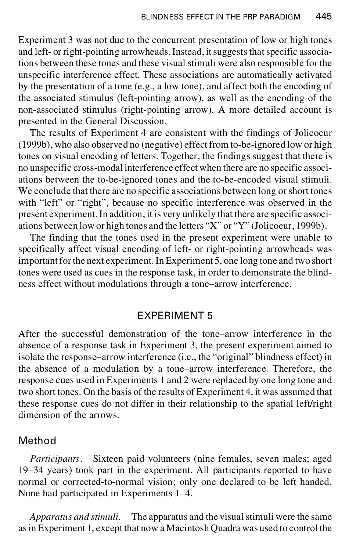Experiment 3 was not due to the concurrent presentation of low or high tones and left- or right-pointing arrowheads. Instead, it suggests that specific associations between these tones and these visual stimuli were also responsible for the unspecific interference effect. These associations are automatically activated by the presentation of a tone (e.g., a low tone), and affect both the encoding of the associated stimulus (left-pointing arrow), as well as the encoding of the non-associated stimulus (right-pointing arrow). A more detailed account is presented in the General Discussion.

The results of Experiment 4 are consistent with the findings of Jolicoeur  $(1999b)$ , who also observed no (negative) effect from to-be-ignored low or high tones on visual encoding of letters. Together, the findings suggest that there is no unspecific cross-modal interference effect when there are no specific associ ations between the to-be-ignored tones and the to-be-encoded visual stimuli. We conclude that there are no specific associations between long or short tones with "left" or "right", because no specific interference was observed in the present experiment. In addition, it is very unlikely that there are specific associ ations between low or high tones and the letters "X" or "Y" (Jolicoeur, 1999b).

The finding that the tones used in the present experiment were unable to specifically affect visual encoding of left- or right-pointing arrowheads was important for the next experiment. In Experiment 5, one long tone and two short tones were used as cues in the response task, in order to demonstrate the blind ness effect without modulations through a tone–arrow interference.

## EXPERIMENT 5

After the successful demonstration of the tone–arrow interference in the absence of a response task in Experiment 3, the present experiment aimed to isolate the response–arrow interference (i.e., the "original" blindness effect) in the absence of a modulation by a tone–arrow interference. Therefore, the response cues used in Experiments 1 and 2 were replaced by one long tone and two short tones. On the basis of the results of Experiment 4, it was assumed that these response cues do not differ in their relationship to the spatial left/right dimension of the arrows.

#### Method

*Participants*. Sixteen paid volunteers (nine females, seven males; aged 19–34 years) took part in the experiment. All participants reported to have normal or corrected-to-normal vision; only one declared to be left handed. None had participated in Experiments 1–4.

*Apparatus and stimuli.* The apparatus and the visualstimuli were the same asin Experiment 1, except that now a Macintosh Quadra was used to control the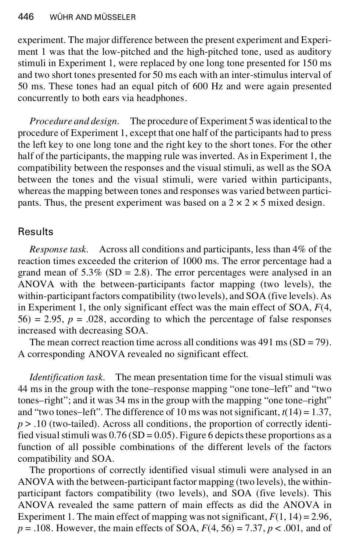experiment. The major difference between the present experiment and Experi ment 1 was that the low-pitched and the high-pitched tone, used as auditory stimuli in Experiment 1, were replaced by one long tone presented for 150 ms and two short tones presented for 50 ms each with an inter-stimulus interval of 50 ms. These tones had an equal pitch of 600 Hz and were again presented concurrently to both ears via headphones.

*Procedure and design.* The procedure of Experiment 5 wasidentical to the procedure of Experiment 1, except that one half of the participants had to press the left key to one long tone and the right key to the short tones. For the other half of the participants, the mapping rule was inverted. As in Experiment 1, the compatibility between the responses and the visual stimuli, as well as the SOA between the tones and the visual stimuli, were varied within participants, whereas the mapping between tones and responses was varied between participants. Thus, the present experiment was based on a  $2 \times 2 \times 5$  mixed design.

### **Results**

*Response task.* Across all conditions and participants, less than 4% of the reaction times exceeded the criterion of 1000 ms. The error percentage had a grand mean of  $5.3\%$  (SD = 2.8). The error percentages were analysed in an ANOVA with the between-participants factor mapping (two levels), the within-participant factors compatibility (two levels), and SOA (five levels). As in Experiment 1, the only significant effect was the main effect of SOA, *F*(4, 56) = 2.95,  $p = .028$ , according to which the percentage of false responses increased with decreasing SOA.

The mean correct reaction time across all conditions was  $491 \text{ ms} (SD = 79)$ . A corresponding ANOVA revealed no significant effect.

*Identification task*. The mean presentation time for the visual stimuli was 44 ms in the group with the tone–response mapping "one tone–left" and "two tones–right"; and itwas 34 ms in the group with the mapping "one tone–right" and "two tones–left". The difference of 10 ms was not significant,  $t(14) = 1.37$ ,  $p > 0.10$  (two-tailed). Across all conditions, the proportion of correctly identified visual stimuli was  $0.76$  (SD = 0.05). Figure 6 depicts these proportions as a function of all possible combinations of the different levels of the factors compatibility and SOA.

The proportions of correctly identified visual stimuli were analysed in an ANOVA with the between-participant factor mapping (two levels), the within participant factors compatibility (two levels), and SOA (five levels). This ANOVA revealed the same pattern of main effects as did the ANOVA in Experiment 1. The main effect of mapping was not significant,  $F(1, 14) = 2.96$ , *p* = .108. However, the main effects of SOA, *F*(4, 56) = 7.37, *p* < .001, and of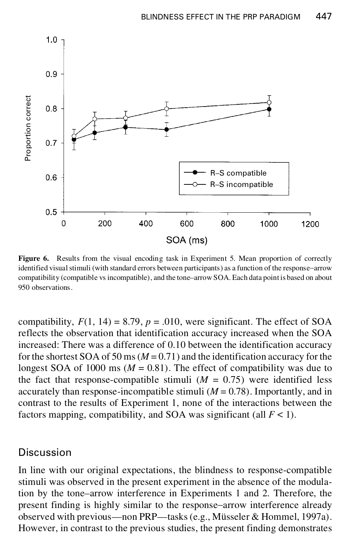

**Figure 6.** Results from the visual encoding task in Experiment 5. Mean proportion of correctly identified visual stimuli (with standard errors between participants) as a function of the response–arrow compatibility (compatible vs incompatible), and the tone–arrow SOA. Each data point is based on about 950 observations.

compatibility,  $F(1, 14) = 8.79$ ,  $p = .010$ , were significant. The effect of SOA reflects the observation that identification accuracy increased when the SOA increased: There was a difference of 0.10 between the identification accuracy for the shortest SOA of 50 ms ( $M = 0.71$ ) and the identification accuracy for the longest SOA of 1000 ms ( $M = 0.81$ ). The effect of compatibility was due to the fact that response-compatible stimuli  $(M = 0.75)$  were identified less accurately than response-incompatible stimuli  $(M = 0.78)$ . Importantly, and in contrast to the results of Experiment 1, none of the interactions between the factors mapping, compatibility, and SOA was significant (all *F* < 1).

#### Discussion

In line with our original expectations, the blindness to response-compatible stimuli was observed in the present experiment in the absence of the modulation by the tone–arrow interference in Experiments 1 and 2. Therefore, the present finding is highly similar to the response–arrow interference already observed with previous—non PRP—tasks(e.g., Müsseler & Hommel, 1997a). However, in contrast to the previous studies, the present finding demonstrates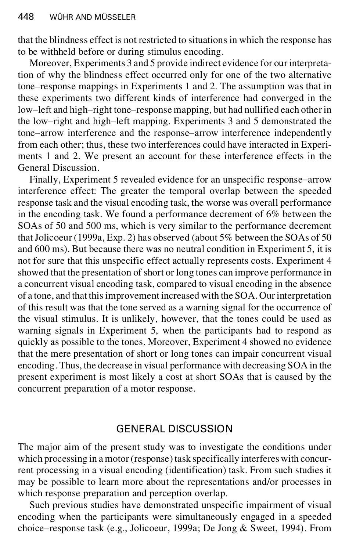that the blindness effect is not restricted to situations in which the response has to be withheld before or during stimulus encoding.

Moreover, Experiments 3 and 5 provide indirect evidence for our interpretation of why the blindness effect occurred only for one of the two alternative tone–response mappings in Experiments 1 and 2. The assumption was that in these experiments two different kinds of interference had converged in the low–left and high–right tone–response mapping, but had nullified each otherin the low–right and high–left mapping. Experiments 3 and 5 demonstrated the tone–arrow interference and the response–arrow interference independently from each other; thus, these two interferences could have interacted in Experi ments 1 and 2. We present an account for these interference effects in the General Discussion.

Finally, Experiment 5 revealed evidence for an unspecific response–arrow interference effect: The greater the temporal overlap between the speeded response task and the visual encoding task, the worse was overall performance in the encoding task. We found a performance decrement of 6% between the SOAs of 50 and 500 ms, which is very similar to the performance decrement that Jolicoeur (1999a, Exp. 2) has observed (about 5% between the SOAs of 50 and 600 ms). But because there was no neutral condition in Experiment 5, it is not for sure that this unspecific effect actually represents costs. Experiment 4 showed that the presentation of short or long tones can improve performance in a concurrent visual encoding task, compared to visual encoding in the absence of a tone, and that thisimprovement increased with the SOA. Ourinterpretation of this result was that the tone served as a warning signal for the occurrence of the visual stimulus. It is unlikely, however, that the tones could be used as warning signals in Experiment 5, when the participants had to respond as quickly as possible to the tones. Moreover, Experiment 4 showed no evidence that the mere presentation of short or long tones can impair concurrent visual encoding. Thus, the decrease in visual performance with decreasing SOA in the present experiment is most likely a cost at short SOAs that is caused by the concurrent preparation of a motor response.

### GENERAL DISCUSSION

The major aim of the present study was to investigate the conditions under which processing in a motor (response) task specifically interferes with concurrent processing in a visual encoding (identification) task. From such studies it may be possible to learn more about the representations and/or processes in which response preparation and perception overlap.

Such previous studies have demonstrated unspecific impairment of visual encoding when the participants were simultaneously engaged in a speeded choice–response task (e.g., Jolicoeur, 1999a; De Jong & Sweet, 1994). From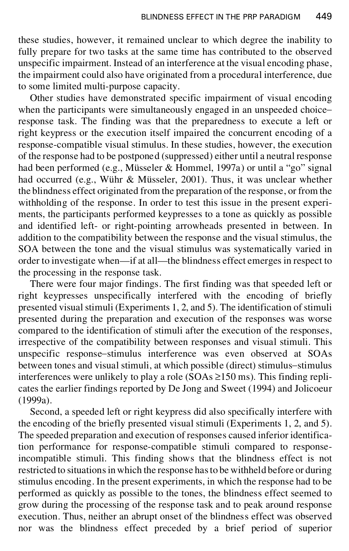these studies, however, it remained unclear to which degree the inability to fully prepare for two tasks at the same time has contributed to the observed unspecific impairment. Instead of an interference at the visual encoding phase, the impairment could also have originated from a procedural interference, due to some limited multi-purpose capacity.

Other studies have demonstrated specific impairment of visual encoding when the participants were simultaneously engaged in an unspeeded choice– response task. The finding was that the preparedness to execute a left or right keypress or the execution itself impaired the concurrent encoding of a response-compatible visual stimulus. In these studies, however, the execution of the response had to be postponed (suppressed) either until a neutral response had been performed (e.g., Müsseler & Hommel, 1997a) or until a "go" signal had occurred (e.g., Wühr & Müsseler, 2001). Thus, it was unclear whether the blindness effect originated from the preparation of the response, or from the withholding of the response. In order to test this issue in the present experi ments, the participants performed keypresses to a tone as quickly as possible and identified left- or right-pointing arrowheads presented in between. In addition to the compatibility between the response and the visual stimulus, the SOA between the tone and the visual stimulus was systematically varied in order to investigate when—if at all—the blindness effect emerges in respect to the processing in the response task.

There were four major findings. The first finding was that speeded left or right keypresses unspecifically interfered with the encoding of briefly presented visual stimuli (Experiments 1, 2, and 5). The identification of stimuli presented during the preparation and execution of the responses was worse compared to the identification of stimuli after the execution of the responses, irrespective of the compatibility between responses and visual stimuli. This unspecific response–stimulus interference was even observed at SOAs between tones and visual stimuli, at which possible (direct) stimulus–stimulus interferences were unlikely to play a role ( $\text{SOAs} \geq 150 \text{ ms}$ ). This finding replicates the earlier findings reported by De Jong and Sweet (1994) and Jolicoeur (1999a).

Second, a speeded left or right keypress did also specifically interfere with the encoding of the briefly presented visual stimuli (Experiments 1, 2, and 5). The speeded preparation and execution of responses caused inferior identification performance for response-compatible stimuli compared to responseincompatible stimuli. This finding shows that the blindness effect is not restricted to situations in which the response has to be withheld before or during stimulus encoding. In the present experiments, in which the response had to be performed as quickly as possible to the tones, the blindness effect seemed to grow during the processing of the response task and to peak around response execution. Thus, neither an abrupt onset of the blindness effect was observed nor was the blindness effect preceded by a brief period of superior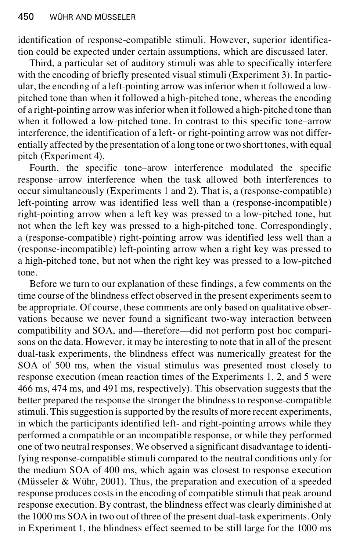identification of response-compatible stimuli. However, superior identification could be expected under certain assumptions, which are discussed later.

Third, a particular set of auditory stimuli was able to specifically interfere with the encoding of briefly presented visual stimuli (Experiment 3). In particular, the encoding of a left-pointing arrow was inferior when it followed a lowpitched tone than when it followed a high-pitched tone, whereas the encoding of a right-pointing arrow wasinferior when itfollowed a high-pitched tone than when it followed a low-pitched tone. In contrast to this specific tone–arrow interference, the identification of a left- or right-pointing arrow was not differ entially affected by the presentation of a long tone or two short tones, with equal pitch (Experiment 4).

Fourth, the specific tone–arow interference modulated the specific response–arrow interference when the task allowed both interferences to occur simultaneously (Experiments 1 and 2). That is, a (response-compatible) left-pointing arrow was identified less well than a (response-incompatible) right-pointing arrow when a left key was pressed to a low-pitched tone, but not when the left key was pressed to a high-pitched tone. Correspondingly, a (response-compatible) right-pointing arrow was identified less well than a (response-incompatible) left-pointing arrow when a right key was pressed to a high-pitched tone, but not when the right key was pressed to a low-pitched tone.

Before we turn to our explanation of these findings, a few comments on the time course of the blindness effect observed in the present experiments seem to be appropriate. Of course, these comments are only based on qualitative obser vations because we never found a significant two-way interaction between compatibility and SOA, and—therefore—did not perform post hoc compari sons on the data. However, it may be interesting to note that in all of the present dual-task experiments, the blindness effect was numerically greatest for the SOA of 500 ms, when the visual stimulus was presented most closely to response execution (mean reaction times of the Experiments 1, 2, and 5 were 466 ms, 474 ms, and 491 ms, respectively). This observation suggests that the better prepared the response the stronger the blindness to response-compatible stimuli. This suggestion is supported by the results of more recent experiments, in which the participants identified left- and right-pointing arrows while they performed a compatible or an incompatible response, or while they performed one of two neutral responses. We observed a significant disadvantage to identifying response-compatible stimuli compared to the neutral conditions only for the medium SOA of 400 ms, which again was closest to response execution (Müsseler & Wühr, 2001). Thus, the preparation and execution of a speeded response produces costsin the encoding of compatible stimuli that peak around response execution. By contrast, the blindness effect was clearly diminished at the 1000 ms SOA in two out of three of the present dual-task experiments. Only in Experiment 1, the blindness effect seemed to be still large for the 1000 ms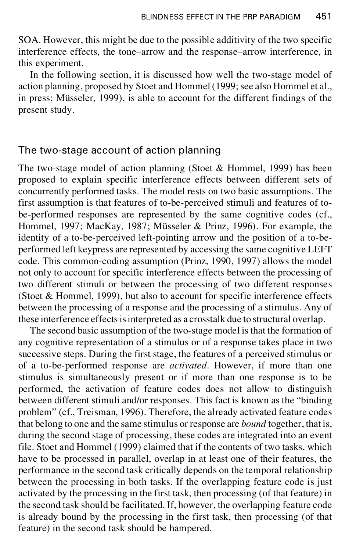SOA. However, this might be due to the possible additivity of the two specific interference effects, the tone–arrow and the response–arrow interference, in this experiment.

In the following section, it is discussed how well the two-stage model of action planning, proposed by Stoet and Hommel (1999; see also Hommel et al., in press; Müsseler, 1999), is able to account for the different findings of the present study.

## The two-stage account of action planning

The two-stage model of action planning (Stoet & Hommel, 1999) has been proposed to explain specific interference effects between different sets of concurrently performed tasks. The model rests on two basic assumptions. The first assumption is that features of to-be-perceived stimuli and features of to be-performed responses are represented by the same cognitive codes (cf., Hommel, 1997; MacKay, 1987; Müsseler & Prinz, 1996). For example, the identity of a to-be-perceived left-pointing arrow and the position of a to-be performed left keypress are represented by accessing the same cognitive LEFT code. This common-coding assumption (Prinz, 1990, 1997) allows the model not only to account for specific interference effects between the processing of two different stimuli or between the processing of two different responses (Stoet & Hommel, 1999), but also to account for specific interference effects between the processing of a response and the processing of a stimulus. Any of these interference effects is interpreted as a crosstalk due to structural overlap.

The second basic assumption of the two-stage model is that the formation of any cognitive representation of a stimulus or of a response takes place in two successive steps. During the first stage, the features of a perceived stimulus or of a to-be-performed response are *activated*. However, if more than one stimulus is simultaneously present or if more than one response is to be performed, the activation of feature codes does not allow to distinguish between different stimuli and/or responses. This fact is known as the "binding problem" (cf., Treisman, 1996). Therefore, the already activated feature codes that belong to one and the same stimulus or response are *bound* together, that is, during the second stage of processing, these codes are integrated into an event file. Stoet and Hommel (1999) claimed that if the contents of two tasks, which have to be processed in parallel, overlap in at least one of their features, the performance in the second task critically depends on the temporal relationship between the processing in both tasks. If the overlapping feature code is just activated by the processing in the first task, then processing (of that feature) in the second task should be facilitated. If, however, the overlapping feature code is already bound by the processing in the first task, then processing (of that feature) in the second task should be hampered.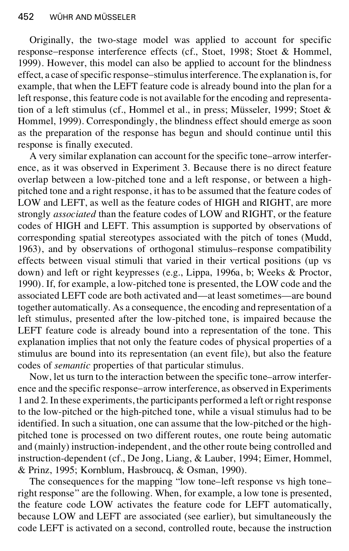Originally, the two-stage model was applied to account for specific response–response interference effects (cf., Stoet, 1998; Stoet & Hommel, 1999). However, this model can also be applied to account for the blindness effect, a case of specific response–stimulus interference. The explanation is, for example, that when the LEFT feature code is already bound into the plan for a left response, this feature code is not available for the encoding and representation of a left stimulus (cf., Hommel et al., in press; Müsseler, 1999; Stoet & Hommel, 1999). Correspondingly, the blindness effect should emerge as soon as the preparation of the response has begun and should continue until this response is finally executed.

A very similar explanation can account for the specific tone–arrow interfer ence, as it was observed in Experiment 3. Because there is no direct feature overlap between a low-pitched tone and a left response, or between a high pitched tone and a right response, it has to be assumed that the feature codes of LOW and LEFT, as well as the feature codes of HIGH and RIGHT, are more strongly *associated* than the feature codes of LOW and RIGHT, or the feature codes of HIGH and LEFT. This assumption is supported by observations of corresponding spatial stereotypes associated with the pitch of tones (Mudd, 1963), and by observations of orthogonal stimulus–response compatibility effects between visual stimuli that varied in their vertical positions (up vs down) and left or right keypresses (e.g., Lippa, 1996a, b; Weeks & Proctor, 1990). If, for example, a low-pitched tone is presented, the LOW code and the associated LEFT code are both activated and—at least sometimes—are bound together automatically. As a consequence, the encoding and representation of a left stimulus, presented after the low-pitched tone, is impaired because the LEFT feature code is already bound into a representation of the tone. This explanation implies that not only the feature codes of physical properties of a stimulus are bound into its representation (an event file), but also the feature codes of *semantic* properties of that particular stimulus.

Now, let us turn to the interaction between the specific tone–arrow interfer ence and the specific response–arrow interference, as observed in Experiments 1 and 2. In these experiments, the participants performed a left or right response to the low-pitched or the high-pitched tone, while a visual stimulus had to be identified. In such a situation, one can assume that the low-pitched or the high pitched tone is processed on two different routes, one route being automatic and (mainly) instruction-independent, and the other route being controlled and instruction-dependent (cf., De Jong, Liang, & Lauber, 1994; Eimer, Hommel, & Prinz, 1995; Kornblum, Hasbroucq, & Osman, 1990).

The consequences for the mapping "low tone–left response vs high tone– right response" are the following. When, for example, a low tone is presented, the feature code LOW activates the feature code for LEFT automatically, because LOW and LEFT are associated (see earlier), but simultaneously the code LEFT is activated on a second, controlled route, because the instruction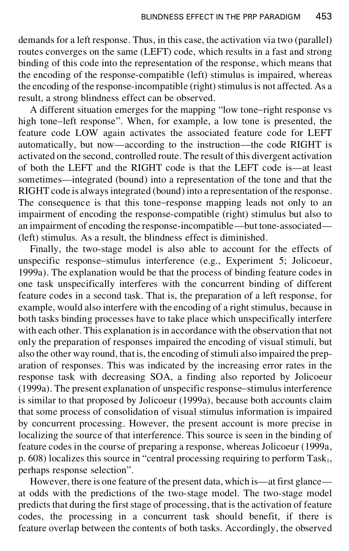demands for a left response. Thus, in this case, the activation via two (parallel) routes converges on the same (LEFT) code, which results in a fast and strong binding of this code into the representation of the response, which means that the encoding of the response-compatible (left) stimulus is impaired, whereas the encoding of the response-incompatible (right) stimulusis not affected. As a result, a strong blindness effect can be observed.

A different situation emerges for the mapping "low tone–right response vs high tone–left response". When, for example, a low tone is presented, the feature code LOW again activates the associated feature code for LEFT automatically, but now—according to the instruction—the code RIGHT is activated on the second, controlled route. The result of this divergent activation of both the LEFT and the RIGHT code is that the LEFT code is—at least sometimes—integrated (bound) into a representation of the tone and that the RIGHT code is always integrated (bound) into a representation of the response. The consequence is that this tone–response mapping leads not only to an impairment of encoding the response-compatible (right) stimulus but also to an impairment of encoding the response-incompatible—but tone-associated— (left) stimulus. As a result, the blindness effect is diminished.

Finally, the two-stage model is also able to account for the effects of unspecific response–stimulus interference (e.g., Experiment 5; Jolicoeur, 1999a). The explanation would be that the process of binding feature codes in one task unspecifically interferes with the concurrent binding of different feature codes in a second task. That is, the preparation of a left response, for example, would also interfere with the encoding of a right stimulus, because in both tasks binding processes have to take place which unspecifically interfere with each other. This explanation is in accordance with the observation that not only the preparation of responses impaired the encoding of visual stimuli, but also the other way round, that is, the encoding of stimuli also impaired the preparation of responses. This was indicated by the increasing error rates in the response task with decreasing SOA, a finding also reported by Jolicoeur (1999a). The present explanation of unspecific response–stimulusinterference is similar to that proposed by Jolicoeur (1999a), because both accounts claim that some process of consolidation of visual stimulus information is impaired by concurrent processing. However, the present account is more precise in localizing the source of that interference. This source is seen in the binding of feature codes in the course of preparing a response, whereas Jolicoeur (1999a, p.  $608$ ) localizes this source in "central processing requiring to perform Task<sub>1</sub>, perhaps response selection".

However, there is one feature of the present data, which is—at first glance at odds with the predictions of the two-stage model. The two-stage model predicts that during the first stage of processing, that is the activation of feature codes, the processing in a concurrent task should benefit, if there is feature overlap between the contents of both tasks. Accordingly, the observed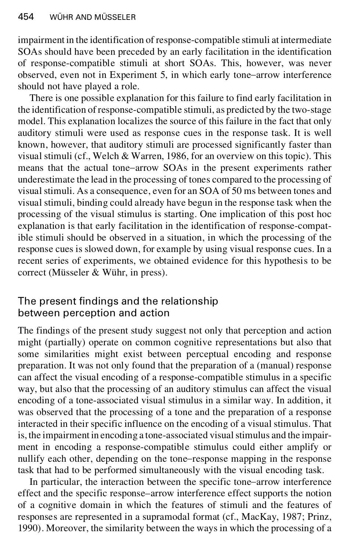impairment in the identification of response-compatible stimuli at intermediate SOAs should have been preceded by an early facilitation in the identification of response-compatible stimuli at short SOAs. This, however, was never observed, even not in Experiment 5, in which early tone–arrow interference should not have played a role.

There is one possible explanation for this failure to find early facilitation in the identification of response-compatible stimuli, as predicted by the two-stage model. This explanation localizes the source of this failure in the fact that only auditory stimuli were used as response cues in the response task. It is well known, however, that auditory stimuli are processed significantly faster than visual stimuli (cf., Welch & Warren, 1986, for an overview on this topic). This means that the actual tone–arrow SOAs in the present experiments rather underestimate the lead in the processing of tones compared to the processing of visual stimuli. As a consequence, even for an SOA of 50 ms between tones and visual stimuli, binding could already have begun in the response task when the processing of the visual stimulus is starting. One implication of this post hoc explanation is that early facilitation in the identification of response-compatible stimuli should be observed in a situation, in which the processing of the response cues is slowed down, for example by using visual response cues. In a recent series of experiments, we obtained evidence for this hypothesis to be correct (Müsseler & Wühr, in press).

### The present findings and the relationship between perception and action

The findings of the present study suggest not only that perception and action might (partially) operate on common cognitive representations but also that some similarities might exist between perceptual encoding and response preparation. It was not only found that the preparation of a (manual) response can affect the visual encoding of a response-compatible stimulus in a specific way, but also that the processing of an auditory stimulus can affect the visual encoding of a tone-associated visual stimulus in a similar way. In addition, it was observed that the processing of a tone and the preparation of a response interacted in their specific influence on the encoding of a visual stimulus. That is, the impairment in encoding a tone-associated visual stimulus and the impairment in encoding a response-compatible stimulus could either amplify or nullify each other, depending on the tone–response mapping in the response task that had to be performed simultaneously with the visual encoding task.

In particular, the interaction between the specific tone–arrow interference effect and the specific response–arrow interference effect supports the notion of a cognitive domain in which the features of stimuli and the features of responses are represented in a supramodal format (cf., MacKay, 1987; Prinz, 1990). Moreover, the similarity between the ways in which the processing of a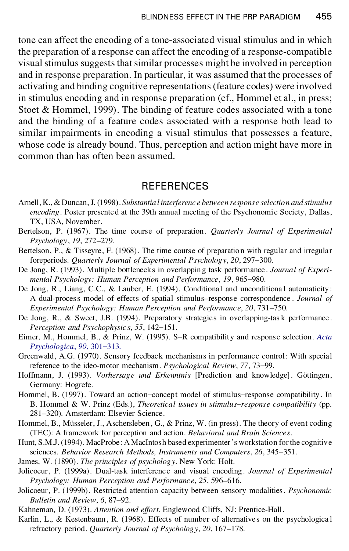tone can affect the encoding of a tone-associated visual stimulus and in which the preparation of a response can affect the encoding of a response-compatible visual stimulus suggests that similar processes might be involved in perception and in response preparation. In particular, it was assumed that the processes of activating and binding cognitive representations(feature codes) were involved in stimulus encoding and in response preparation (cf., Hommel et al., in press; Stoet & Hommel, 1999). The binding of feature codes associated with a tone and the binding of a feature codes associated with a response both lead to similar impairments in encoding a visual stimulus that possesses a feature, whose code is already bound. Thus, perception and action might have more in common than has often been assumed.

### **REFERENCES**

- Arnell, K.,& Duncan,J. (1998). *Substantial interferenc e between response selection and stimulus encoding*. Poster presented at the 39th annual meeting of the Psychonomic Society, Dallas, TX, USA, November.
- Bertelson, P. (1967). The time course of preparation . *Quarterly Journal of Experimental Psychology*, *19*, 272–279.
- Bertelson, P., & Tisseyre, F. (1968). The time course of preparation with regular and irregular foreperiods. *Quarterly Journal of Experimental Psychology*, *20*, 297–300.
- De Jong, R. (1993). Multiple bottlenecks in overlappin g task performance . *Journal of Experi mental Psychology: Human Perception and Performance, 19*, 965–980.
- De Jong, R., Liang, C.C., & Lauber, E. (1994). Conditional and unconditional automaticity: A dual-process model of effects of spatial stimulus–response correspondence . *Journal of Experimental Psychology: Human Perception and Performance*, *20*, 731–750.
- De Jong, R., & Sweet, J.B. (1994). Preparatory strategies in overlapping-tas k performance . *Perception and Psychophysic s*, *55*, 142–151.
- Eimer, M., Hommel, B., & Prinz, W. (1995). S–R compatibility and response selection. *[Acta](http://lindoro.catchword.com/nw=1/rpsv/cgi-bin/linker?ext=a&reqidx=/0001-6918^28^2990L.301[aid=308319]) [Psychologica](http://lindoro.catchword.com/nw=1/rpsv/cgi-bin/linker?ext=a&reqidx=/0001-6918^28^2990L.301[aid=308319])*, *90*, 301–313.
- Greenwald, A.G. (1970). Sensory feedback mechanisms in performance control: With special reference to the ideo-motor mechanism. *Psychological Review*, *77*, 73–99.
- Hoffmann, J. (1993). *Vorhersage und Erkenntnis* [Prediction and knowledge]. Göttingen, Germany: Hogrefe.
- Hommel, B. (1997). Toward an action–concept model of stimulus–response compatibility . In B. Hommel & W. Prinz (Eds.), *Theoretical issues in stimulus–response compatibility* (pp. 281–320). Amsterdam: Elsevier Science.
- Hommel, B., Müsseler, J., Aschersleben , G., & Prinz, W. (in press). The theory of event coding (TEC): A framework for perception and action. *Behavioral and Brain Sciences*.
- Hunt, S.M.J. (1994). MacProbe: A MacIntosh based experimenter's workstation forthe cognitive sciences. *Behavior Research Methods, Instruments and Computers*, *26*, 345–351.
- James, W. (1890). *The principles of psychology*. New York: Holt.
- Jolicoeur, P. (1999a). Dual-task interference and visual encoding. *Journal of Experimental Psychology: Human Perception and Performance*, *25*, 596–616.
- Jolicoeur, P. (1999b). Restricted attention capacity between sensory modalities. *Psychonomic Bulletin and Review*, *6*, 87–92.
- Kahneman, D. (1973). *Attention and effort*. Englewood Cliffs, NJ: Prentice-Hall.
- Karlin, L., & Kestenbaum, R. (1968). Effects of number of alternatives on the psychologica l refractory period. *Quarterly Journal of Psychology*, *20*, 167–178.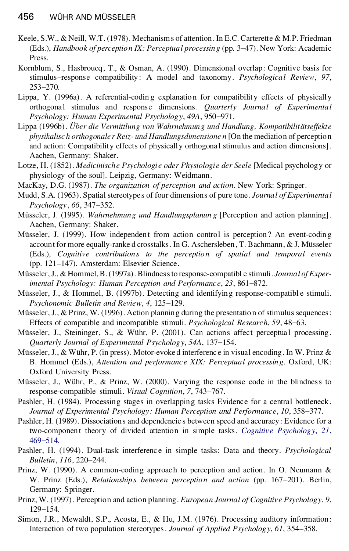- Keele, S.W., & Neill, W.T. (1978). Mechanisms of attention. In E.C. Carterette & M.P. Friedman (Eds.), *Handbook of perception IX: Perceptual processing* (pp. 3–47). New York: Academic Press.
- Kornblum, S., Hasbroucq, T., & Osman, A. (1990). Dimensional overlap: Cognitive basis for stimulus–response compatibility : A model and taxonomy. *Psychological Review*, *97*, 253–270.
- Lippa, Y. (1996a). A referential-codin g explanation for compatibility effects of physically orthogona l stimulus and response dimensions. *Quarterly Journal of Experimental Psychology: Human Experimental Psychology*, *49A*, 950–971.
- Lippa (1996b). *Über die Vermittlung von Wahrnehmung und Handlung, Kompatibilitätseffekte physikalisc h orthogonale r Reiz- und Handlungsdimensione n* [On the mediation of perception and action: Compatibility effects of physically orthogona l stimulus and action dimensions]. Aachen, Germany: Shaker.
- Lotze, H. (1852). *Medicinische Psychologie oder Physiologie der Seele* [Medical psychology or physiology of the soul]. Leipzig, Germany: Weidmann.
- MacKay, D.G. (1987). *The organization of perception and action*. New York: Springer.
- Mudd, S.A. (1963). Spatial stereotypes of four dimensions of pure tone. *Journal of Experimental Psychology*, *66*, 347–352.
- Müsseler, J. (1995). *Wahrnehmung und Handlungsplanun g* [Perception and action planning]. Aachen, Germany: Shaker.
- Müsseler, J. (1999). How independent from action control is perception ? An event-codin g account for more equally-ranke d crosstalks. In G. Aschersleben, T. Bachmann, & J. Müsseler (Eds.), *Cognitive contributions to the perception of spatial and temporal events* (pp. 121–147). Amsterdam: Elsevier Science.
- Müsseler,J., & Hommel,B.(1997a). Blindnessto response-compatibl e stimuli. *Journal of Experimental Psychology: Human Perception and Performance*, *23*, 861–872.
- Müsseler, J., & Hommel, B. (1997b). Detecting and identifying response-compatibl e stimuli. *Psychonomic Bulletin and Review*, *4*, 125–129.
- Müsseler, J., & Prinz, W. (1996). Action planning during the presentatio n of stimulus sequences: Effects of compatible and incompatible stimuli. *Psychological Research*, *59*, 48–63.
- Müsseler, J., Steininger, S., & Wühr, P. (2001). Can actions affect perceptual processing. *Quarterly Journal of Experimental Psychology*, *54A*, 137–154.
- Müsseler, J., & Wühr, P. (in press). Motor-evoke d interferenc e in visual encoding. In W. Prinz & B. Hommel (Eds.), *Attention and performance XIX: Perceptual processing*. Oxford, UK: Oxford University Press.
- Müsseler, J., Wühr, P., & Prinz, W. (2000). Varying the response code in the blindness to response-compatible stimuli. *Visual Cognition*, *7*, 743–767.
- Pashler, H. (1984). Processing stages in overlapping tasks Evidence for a central bottleneck. *Journal of Experimental Psychology: Human Perception and Performance*, *10*, 358–377.
- Pashler, H. (1989). Dissociations and dependencie s between speed and accuracy: Evidence for a two-component theory of divided attention in simple tasks. *Cognitive [Psychology](http://lindoro.catchword.com/nw=1/rpsv/cgi-bin/linker?ext=a&reqidx=/0010-0285^28^2921L.469[aid=289918])*, *21*, [469–514.](http://lindoro.catchword.com/nw=1/rpsv/cgi-bin/linker?ext=a&reqidx=/0010-0285^28^2921L.469[aid=289918])
- Pashler, H. (1994). Dual-task interferenc e in simple tasks: Data and theory. *Psychological Bulletin*, *116*, 220–244.
- Prinz, W. (1990). A common-coding approach to perception and action. In O. Neumann & W. Prinz (Eds.), *Relationships between perception and action* (pp. 167–201). Berlin, Germany: Springer.
- Prinz, W. (1997). Perception and action planning. *European Journal of Cognitive Psychology*, *9*, 129–154.
- Simon, J.R., Mewaldt, S.P., Acosta, E., & Hu, J.M. (1976). Processing auditory information: Interaction of two population stereotypes. *Journal of Applied Psychology*, *61*, 354–358.